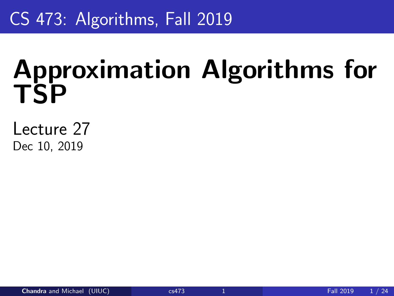# <span id="page-0-0"></span>CS 473: Algorithms, Fall 2019

# Approximation Algorithms for **TSP**

Lecture 27 Dec 10, 2019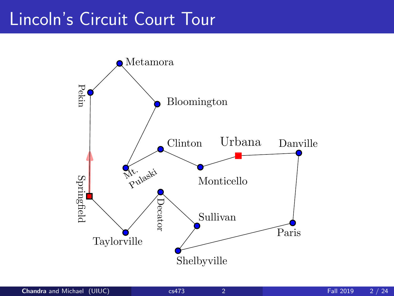### Lincoln's Circuit Court Tour

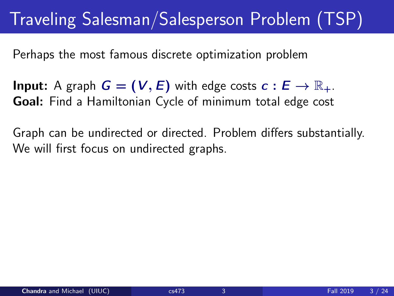# Traveling Salesman/Salesperson Problem (TSP)

Perhaps the most famous discrete optimization problem

**Input:** A graph  $G = (V, E)$  with edge costs  $c : E \rightarrow \mathbb{R}_+$ . Goal: Find a Hamiltonian Cycle of minimum total edge cost

Graph can be undirected or directed. Problem differs substantially. We will first focus on undirected graphs.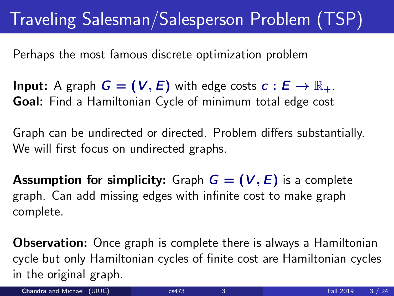# Traveling Salesman/Salesperson Problem (TSP)

Perhaps the most famous discrete optimization problem

**Input:** A graph  $G = (V, E)$  with edge costs  $c : E \rightarrow \mathbb{R}_+$ . Goal: Find a Hamiltonian Cycle of minimum total edge cost

Graph can be undirected or directed. Problem differs substantially. We will first focus on undirected graphs.

**Assumption for simplicity:** Graph  $G = (V, E)$  is a complete graph. Can add missing edges with infinite cost to make graph complete.

Observation: Once graph is complete there is always a Hamiltonian cycle but only Hamiltonian cycles of finite cost are Hamiltonian cycles in the original graph.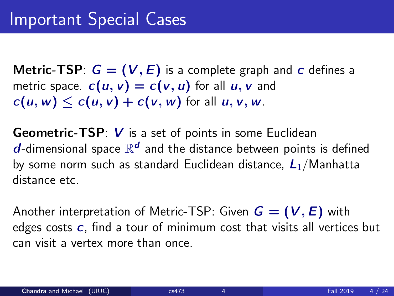**Metric-TSP:**  $G = (V, E)$  is a complete graph and c defines a metric space.  $c(u, v) = c(v, u)$  for all  $u, v$  and  $c(u, w) \leq c(u, v) + c(v, w)$  for all  $u, v, w$ .

**Geometric-TSP:** V is a set of points in some Euclidean  $\boldsymbol{d}$ -dimensional space  $\mathbb{R}^{\boldsymbol{d}}$  and the distance between points is defined by some norm such as standard Euclidean distance,  $L_1/M$ anhatta distance etc.

Another interpretation of Metric-TSP: Given  $G = (V, E)$  with edges costs  $c$ , find a tour of minimum cost that visits all vertices but can visit a vertex more than once.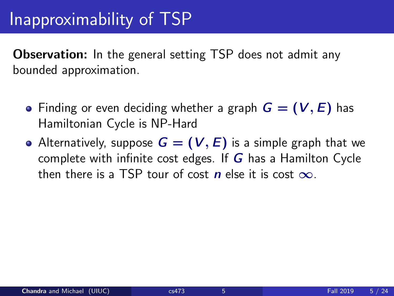### Inapproximability of TSP

**Observation:** In the general setting TSP does not admit any bounded approximation.

- Finding or even deciding whether a graph  $G = (V, E)$  has Hamiltonian Cycle is NP-Hard
- Alternatively, suppose  $G = (V, E)$  is a simple graph that we complete with infinite cost edges. If  $G$  has a Hamilton Cycle then there is a TSP tour of cost n else it is cost  $\infty$ .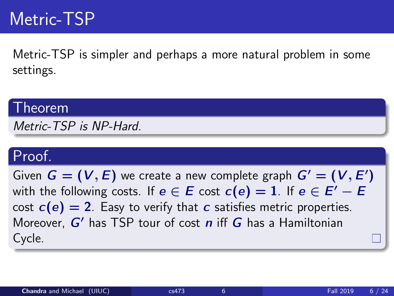### Metric-TSP

Metric-TSP is simpler and perhaps a more natural problem in some settings.

#### Theorem

Metric-TSP is NP-Hard.

### Proof.

Given  $G = (V, E)$  we create a new complete graph  $G' = (V, E')$ with the following costs. If  $e \in E$  cost  $c(e) = 1$ . If  $e \in E' - E$ cost  $c(e) = 2$ . Easy to verify that c satisfies metric properties. Moreover,  $G'$  has TSP tour of cost  $n$  iff  $G$  has a Hamiltonian Cycle.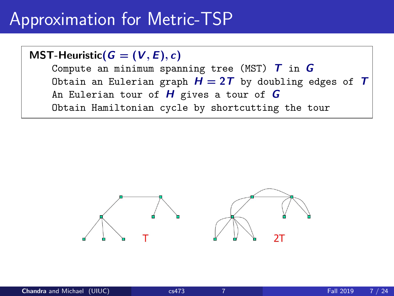### Approximation for Metric-TSP

MST-Heuristic( $G = (V, E), c$ )

Compute an minimum spanning tree (MST)  $T$  in  $G$ Obtain an Eulerian graph  $H = 2T$  by doubling edges of T An Eulerian tour of  $H$  gives a tour of  $G$ Obtain Hamiltonian cycle by shortcutting the tour

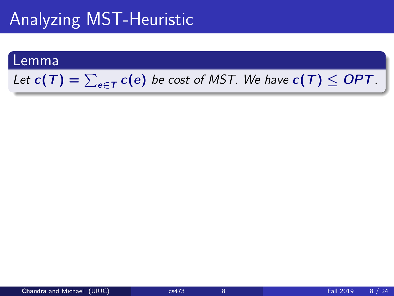# Analyzing MST-Heuristic

#### Lemma

### Let  $c(T) = \sum_{e \in T} c(e)$  be cost of MST. We have  $c(T) \leq OPT$ .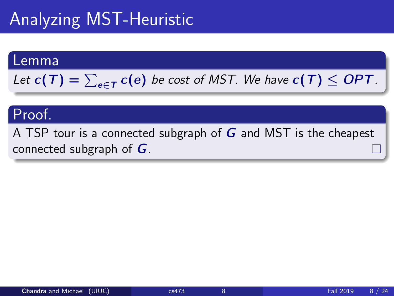# Analyzing MST-Heuristic

#### Lemma

Let 
$$
c(T) = \sum_{e \in T} c(e)
$$
 be cost of MST. We have  $c(T) \leq OPT$ .

### Proof.

A TSP tour is a connected subgraph of  $G$  and MST is the cheapest connected subgraph of  $G$ .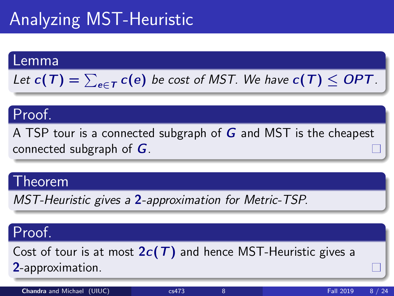# Analyzing MST-Heuristic

#### Lemma

Let 
$$
c(T) = \sum_{e \in T} c(e)
$$
 be cost of MST. We have  $c(T) \le OPT$ .

### Proof.

A TSP tour is a connected subgraph of  $G$  and MST is the cheapest connected subgraph of  $G$ .

#### Theorem

MST-Heuristic gives a 2-approximation for Metric-TSP.

### Proof.

Cost of tour is at most  $2c(T)$  and hence MST-Heuristic gives a 2-approximation.

**Chandra and Michael (UIUC)** [cs473](#page-0-0) 8 **Fall 2019** 8 / 24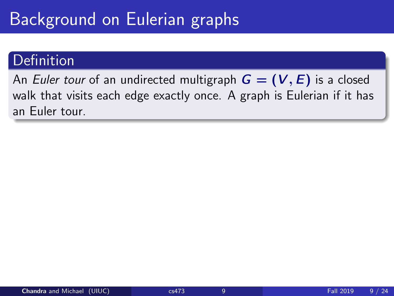# Background on Eulerian graphs

### Definition

An Euler tour of an undirected multigraph  $G = (V, E)$  is a closed walk that visits each edge exactly once. A graph is Eulerian if it has an Euler tour.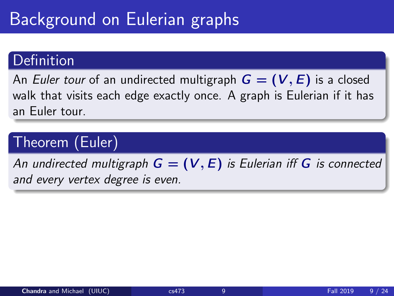# Background on Eulerian graphs

### Definition

An Euler tour of an undirected multigraph  $G = (V, E)$  is a closed walk that visits each edge exactly once. A graph is Eulerian if it has an Euler tour.

### Theorem (Euler)

An undirected multigraph  $G = (V, E)$  is Eulerian iff G is connected and every vertex degree is even.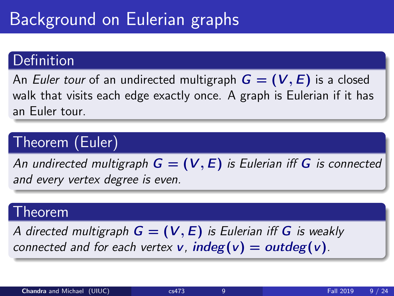# Background on Eulerian graphs

### Definition

An Euler tour of an undirected multigraph  $G = (V, E)$  is a closed walk that visits each edge exactly once. A graph is Eulerian if it has an Euler tour.

### Theorem (Euler)

An undirected multigraph  $G = (V, E)$  is Eulerian iff G is connected and every vertex degree is even.

### Theorem

A directed multigraph  $G = (V, E)$  is Eulerian iff G is weakly connected and for each vertex **v**,  $indeg(v) = outdeg(v)$ .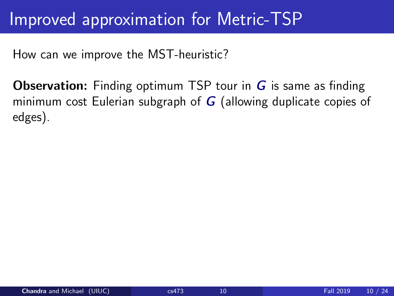### Improved approximation for Metric-TSP

How can we improve the MST-heuristic?

**Observation:** Finding optimum TSP tour in  $\boldsymbol{G}$  is same as finding minimum cost Eulerian subgraph of  $G$  (allowing duplicate copies of edges).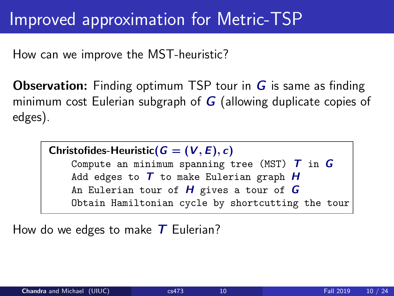### Improved approximation for Metric-TSP

How can we improve the MST-heuristic?

**Observation:** Finding optimum TSP tour in  $G$  is same as finding minimum cost Eulerian subgraph of  $G$  (allowing duplicate copies of edges).

Christofides-Heuristic( $G = (V, E), c$ )

Compute an minimum spanning tree (MST)  $T$  in  $G$ Add edges to  $T$  to make Eulerian graph  $H$ An Eulerian tour of  $H$  gives a tour of  $G$ Obtain Hamiltonian cycle by shortcutting the tour

How do we edges to make  $T$  Eulerian?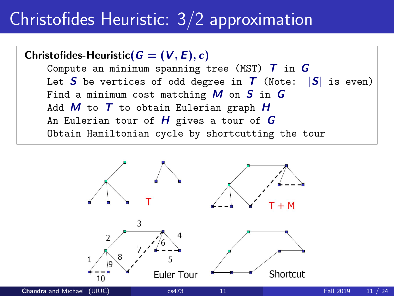# Christofides Heuristic: 3/2 approximation

Christofides-Heuristic( $G = (V, E), c$ ) Compute an minimum spanning tree (MST)  $T$  in  $G$ Let S be vertices of odd degree in  $T$  (Note:  $|S|$  is even) Find a minimum cost matching  $M$  on  $S$  in  $G$ Add  $M$  to  $T$  to obtain Eulerian graph  $H$ An Eulerian tour of  $H$  gives a tour of  $G$ Obtain Hamiltonian cycle by shortcutting the tour

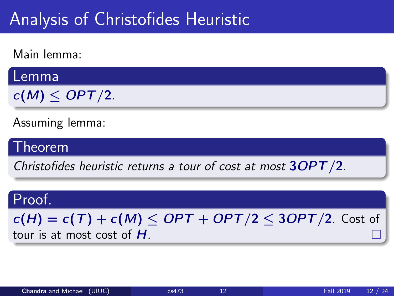### Analysis of Christofides Heuristic

Main lemma:

Lemma

 $c(M) \leq OPT/2$ .

Assuming lemma:

Theorem

Christofides heuristic returns a tour of cost at most 3OPT/2.

### Proof.

 $c(H) = c(T) + c(M) \leq OPT + OPT/2 \leq 3OPT/2$ . Cost of tour is at most cost of H.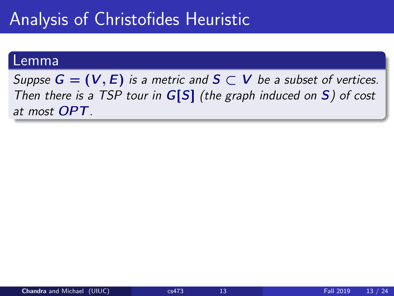### Analysis of Christofides Heuristic

#### Lemma

Suppse  $G = (V, E)$  is a metric and  $S \subset V$  be a subset of vertices. Then there is a TSP tour in  $G[S]$  (the graph induced on S) of cost at most OPT.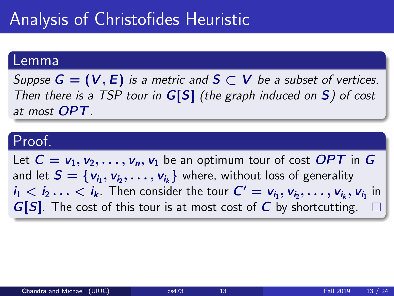### Analysis of Christofides Heuristic

#### Lemma

Suppse  $G = (V, E)$  is a metric and  $S \subset V$  be a subset of vertices. Then there is a TSP tour in  $G[S]$  (the graph induced on S) of cost at most OPT.

### Proof.

Let  $C = v_1, v_2, \ldots, v_n, v_1$  be an optimum tour of cost OPT in G and let  $\mathcal{S} = \{\mathsf{v}_{i_1}, \mathsf{v}_{i_2}, \dots, \mathsf{v}_{i_k}\}$  where, without loss of generality  $i_1 < i_2 \ldots < i_k$ . Then consider the tour  $C' = v_{i_1}, v_{i_2}, \ldots, v_{i_k}, v_{i_1}$  in  $G[S]$ . The cost of this tour is at most cost of C by shortcutting.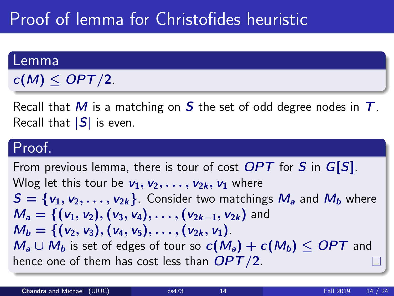# Proof of lemma for Christofides heuristic

#### Lemma

 $c(M) \leq OPT/2$ .

Recall that M is a matching on S the set of odd degree nodes in  $T$ . Recall that  $|S|$  is even.

### Proof.

From previous lemma, there is tour of cost  $OPT$  for S in  $G[S]$ . Wlog let this tour be  $v_1, v_2, \ldots, v_{2k}, v_1$  where  $S = \{v_1, v_2, \ldots, v_{2k}\}\)$ . Consider two matchings  $M_a$  and  $M_b$  where  $M_a = \{ (v_1, v_2), (v_3, v_4), \ldots, (v_{2k-1}, v_{2k}) \}$  and  $M_b = \{ (v_2, v_3), (v_4, v_5), \ldots, (v_{2k}, v_1) \}.$  $M_a \cup M_b$  is set of edges of tour so  $c(M_a) + c(M_b) \leq OPT$  and hence one of them has cost less than  $OPT/2$ .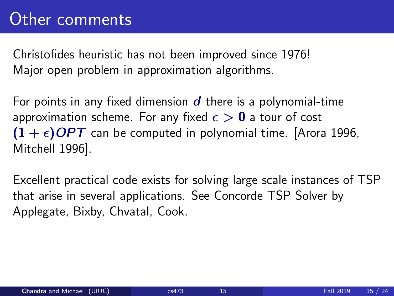Christofides heuristic has not been improved since 1976! Major open problem in approximation algorithms.

For points in any fixed dimension  $d$  there is a polynomial-time approximation scheme. For any fixed  $\epsilon > 0$  a tour of cost  $(1 + \epsilon)$  OPT can be computed in polynomial time. [Arora 1996, Mitchell 1996].

Excellent practical code exists for solving large scale instances of TSP that arise in several applications. See Concorde TSP Solver by Applegate, Bixby, Chvatal, Cook.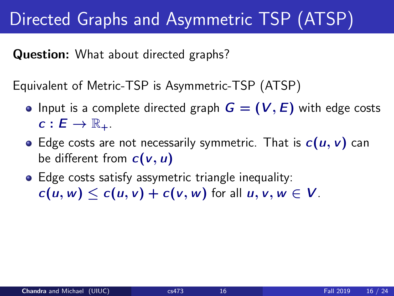# Directed Graphs and Asymmetric TSP (ATSP)

Question: What about directed graphs?

Equivalent of Metric-TSP is Asymmetric-TSP (ATSP)

- Input is a complete directed graph  $G = (V, E)$  with edge costs  $c: E \to \mathbb{R}_+$ .
- Edge costs are not necessarily symmetric. That is  $c(u, v)$  can be different from  $c(v, u)$
- **•** Edge costs satisfy assymetric triangle inequality:  $c(u, w) \leq c(u, v) + c(v, w)$  for all  $u, v, w \in V$ .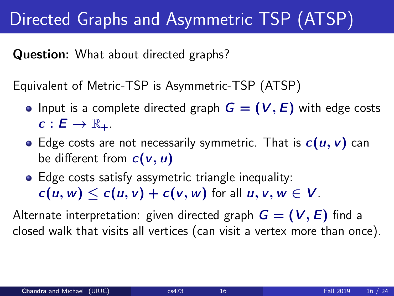# Directed Graphs and Asymmetric TSP (ATSP)

Question: What about directed graphs?

Equivalent of Metric-TSP is Asymmetric-TSP (ATSP)

- Input is a complete directed graph  $G = (V, E)$  with edge costs  $c: E \to \mathbb{R}_+$ .
- Edge costs are not necessarily symmetric. That is  $c(u, v)$  can be different from  $c(v, u)$
- Edge costs satisfy assymetric triangle inequality:  $c(u, w) \leq c(u, v) + c(v, w)$  for all  $u, v, w \in V$ .

Alternate interpretation: given directed graph  $G = (V, E)$  find a closed walk that visits all vertices (can visit a vertex more than once).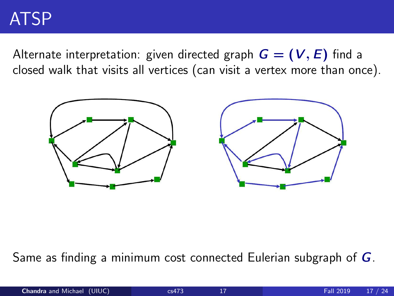### ATSP

Alternate interpretation: given directed graph  $G = (V, E)$  find a closed walk that visits all vertices (can visit a vertex more than once).



Same as finding a minimum cost connected Eulerian subgraph of G.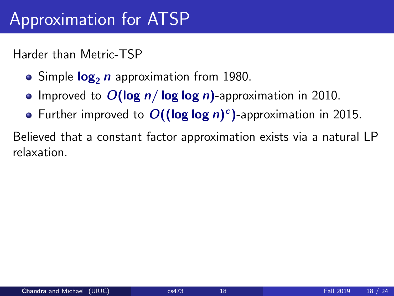### Approximation for ATSP

Harder than Metric-TSP

- Simple  $log_2 n$  approximation from 1980.
- Improved to  $O(\log n / \log \log n)$ -approximation in 2010.
- Further improved to  $O((\log \log n)^c)$ -approximation in 2015.

Believed that a constant factor approximation exists via a natural LP relaxation.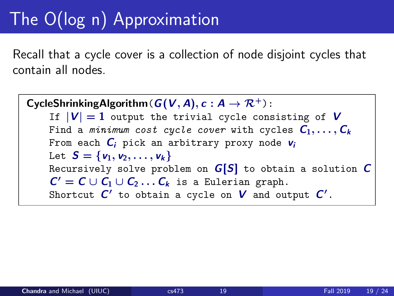# The O(log n) Approximation

Recall that a cycle cover is a collection of node disjoint cycles that contain all nodes.

CycleShrinkingAlgorithm( $G(V, A), c : A \rightarrow \mathcal{R}^+$ ): If  $|V| = 1$  output the trivial cycle consisting of V Find a minimum cost cycle cover with cycles  $C_1, \ldots, C_k$ From each  $C_i$  pick an arbitrary proxy node  $v_i$ Let  $S = \{v_1, v_2, \ldots, v_k\}$ Recursively solve problem on  $G[S]$  to obtain a solution  $C$  $C' = C \cup C_1 \cup C_2 \dots C_k$  is a Eulerian graph. Shortcut  $C'$  to obtain a cycle on  $V$  and output  $C'$ .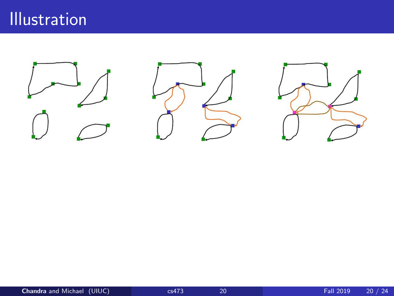### Illustration





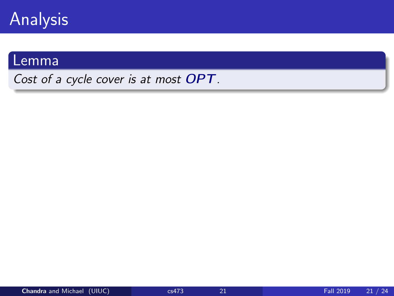

### Lemma

Cost of a cycle cover is at most OPT.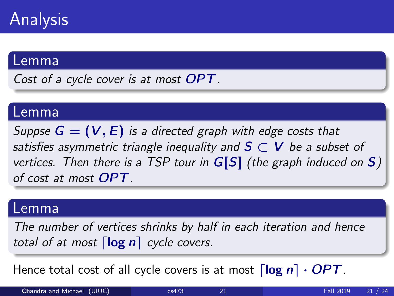#### Lemma

Cost of a cycle cover is at most **OPT**.

#### Lemma

Suppse  $G = (V, E)$  is a directed graph with edge costs that satisfies asymmetric triangle inequality and  $S \subset V$  be a subset of vertices. Then there is a TSP tour in  $G[S]$  (the graph induced on S) of cost at most OPT.

#### Lemma

The number of vertices shrinks by half in each iteration and hence total of at most  $\lceil \log n \rceil$  cycle covers.

Hence total cost of all cycle covers is at most  $\lceil \log n \rceil \cdot OPT$ .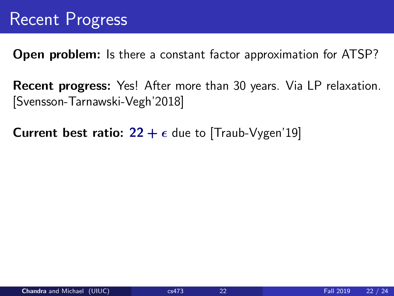**Open problem:** Is there a constant factor approximation for ATSP?

Recent progress: Yes! After more than 30 years. Via LP relaxation. [Svensson-Tarnawski-Vegh'2018]

**Current best ratio: 22 +**  $\epsilon$  **due to [Traub-Vygen'19]**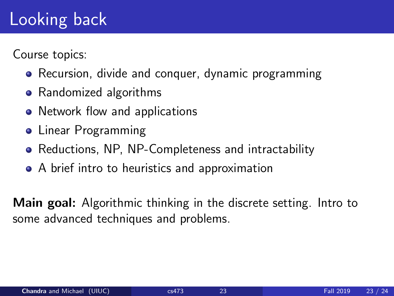# Looking back

Course topics:

- Recursion, divide and conquer, dynamic programming
- Randomized algorithms
- Network flow and applications
- **Linear Programming**
- Reductions, NP, NP-Completeness and intractability
- A brief intro to heuristics and approximation

Main goal: Algorithmic thinking in the discrete setting. Intro to some advanced techniques and problems.